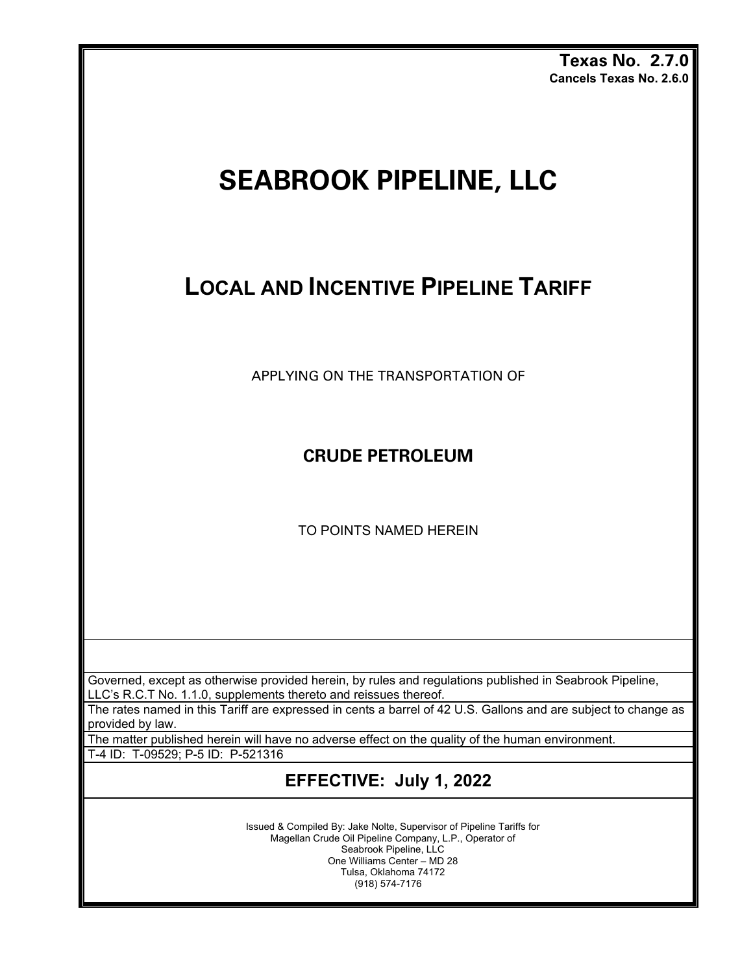**Texas No. 2.7.0 Cancels Texas No. 2.6.0**

# **SEABROOK PIPELINE, LLC**

## **LOCAL AND INCENTIVE PIPELINE TARIFF**

APPLYING ON THE TRANSPORTATION OF

**CRUDE PETROLEUM** 

TO POINTS NAMED HEREIN

Governed, except as otherwise provided herein, by rules and regulations published in Seabrook Pipeline, LLC's R.C.T No. 1.1.0, supplements thereto and reissues thereof.

The rates named in this Tariff are expressed in cents a barrel of 42 U.S. Gallons and are subject to change as provided by law.

The matter published herein will have no adverse effect on the quality of the human environment.

T-4 ID: T-09529; P-5 ID: P-521316

### **EFFECTIVE: July 1, 2022**

Issued & Compiled By: Jake Nolte, Supervisor of Pipeline Tariffs for Magellan Crude Oil Pipeline Company, L.P., Operator of Seabrook Pipeline, LLC One Williams Center – MD 28 Tulsa, Oklahoma 74172 (918) 574-7176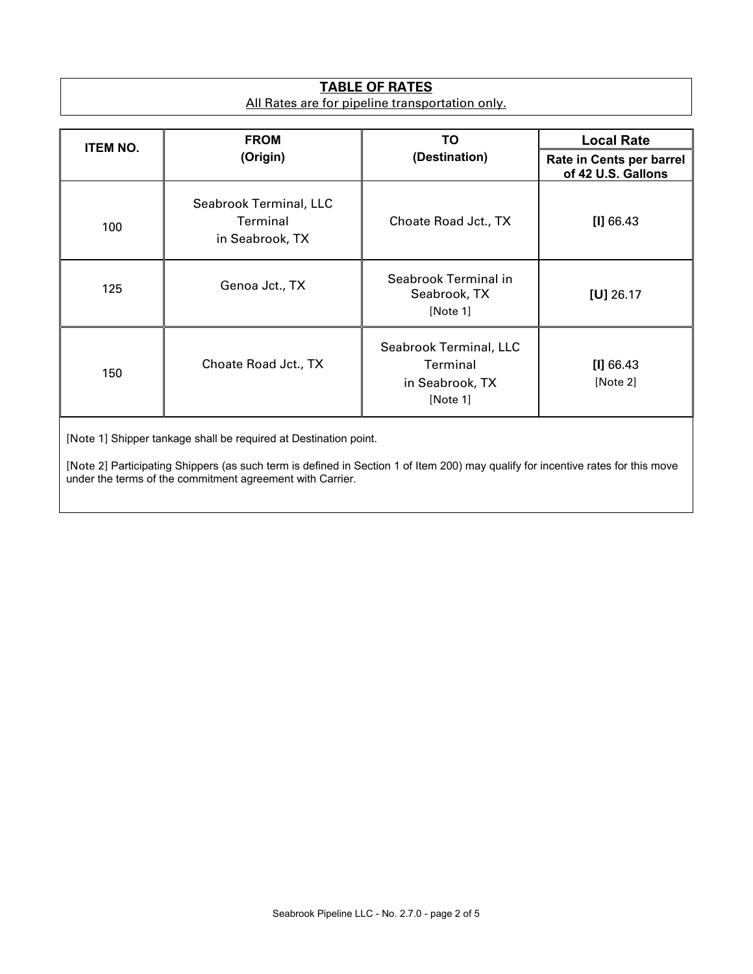#### **TABLE OF RATES** All Rates are for pipeline transportation only.

| <b>ITEM NO.</b> | <b>FROM</b><br>(Origin)                                      | ΤO                                                                | <b>Local Rate</b>                              |
|-----------------|--------------------------------------------------------------|-------------------------------------------------------------------|------------------------------------------------|
|                 |                                                              | (Destination)                                                     | Rate in Cents per barrel<br>of 42 U.S. Gallons |
| 100             | Seabrook Terminal, LLC<br><b>Terminal</b><br>in Seabrook, TX | Choate Road Jct., TX                                              | [1] 66.43                                      |
| 125             | Genoa Jct., TX                                               | Seabrook Terminal in<br>Seabrook, TX<br>[Note 1]                  | $[U]$ 26.17                                    |
| 150             | Choate Road Jct., TX                                         | Seabrook Terminal, LLC<br>Terminal<br>in Seabrook, TX<br>[Note 1] | [1] 66.43<br>[Note 2]                          |

[Note 1] Shipper tankage shall be required at Destination point.

[Note 2] Participating Shippers (as such term is defined in Section 1 of Item 200) may qualify for incentive rates for this move under the terms of the commitment agreement with Carrier.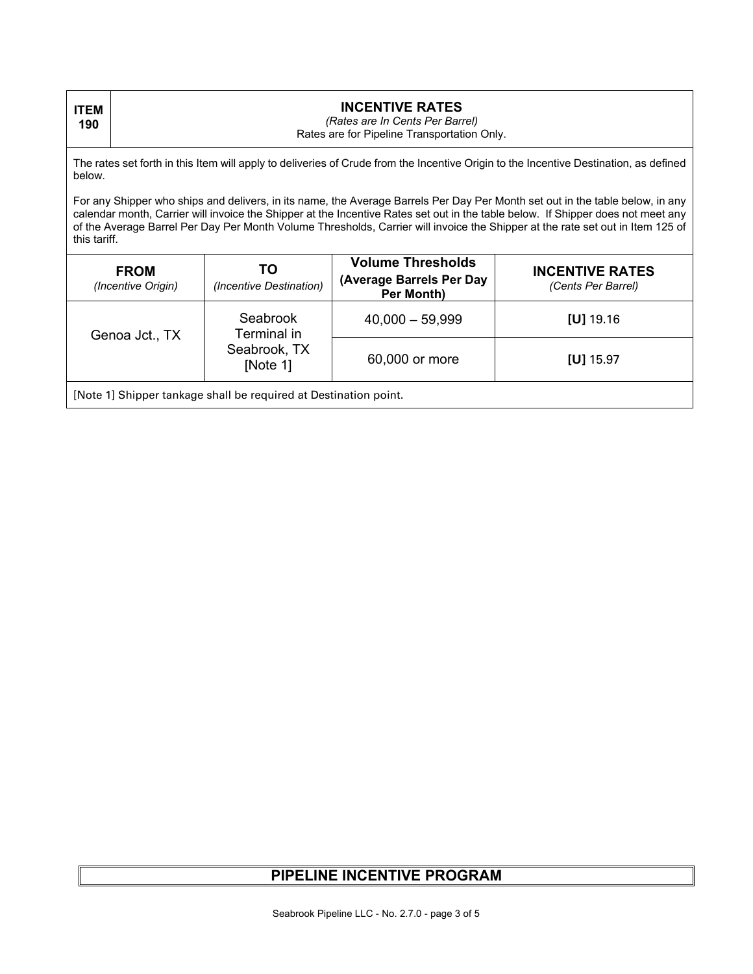| <b>ITEM</b><br>190                                                                                                                                                                                                                                                                                                                                                                                                  | <b>INCENTIVE RATES</b><br>(Rates are In Cents Per Barrel)<br>Rates are for Pipeline Transportation Only. |                                                     |                                                                    |                                              |  |
|---------------------------------------------------------------------------------------------------------------------------------------------------------------------------------------------------------------------------------------------------------------------------------------------------------------------------------------------------------------------------------------------------------------------|----------------------------------------------------------------------------------------------------------|-----------------------------------------------------|--------------------------------------------------------------------|----------------------------------------------|--|
| The rates set forth in this Item will apply to deliveries of Crude from the Incentive Origin to the Incentive Destination, as defined<br>below.                                                                                                                                                                                                                                                                     |                                                                                                          |                                                     |                                                                    |                                              |  |
| For any Shipper who ships and delivers, in its name, the Average Barrels Per Day Per Month set out in the table below, in any<br>calendar month, Carrier will invoice the Shipper at the Incentive Rates set out in the table below. If Shipper does not meet any<br>of the Average Barrel Per Day Per Month Volume Thresholds, Carrier will invoice the Shipper at the rate set out in Item 125 of<br>this tariff. |                                                                                                          |                                                     |                                                                    |                                              |  |
|                                                                                                                                                                                                                                                                                                                                                                                                                     | <b>FROM</b><br>(Incentive Origin)                                                                        | TO<br>(Incentive Destination)                       | <b>Volume Thresholds</b><br>(Average Barrels Per Day<br>Per Month) | <b>INCENTIVE RATES</b><br>(Cents Per Barrel) |  |
| Genoa Jct., TX                                                                                                                                                                                                                                                                                                                                                                                                      |                                                                                                          | Seabrook<br>Terminal in<br>Seabrook, TX<br>[Note 1] | $40,000 - 59,999$                                                  | $[U]$ 19.16                                  |  |
|                                                                                                                                                                                                                                                                                                                                                                                                                     |                                                                                                          |                                                     | 60,000 or more                                                     | $[U]$ 15.97                                  |  |
| [Note 1] Shipper tankage shall be required at Destination point.                                                                                                                                                                                                                                                                                                                                                    |                                                                                                          |                                                     |                                                                    |                                              |  |

#### **PIPELINE INCENTIVE PROGRAM**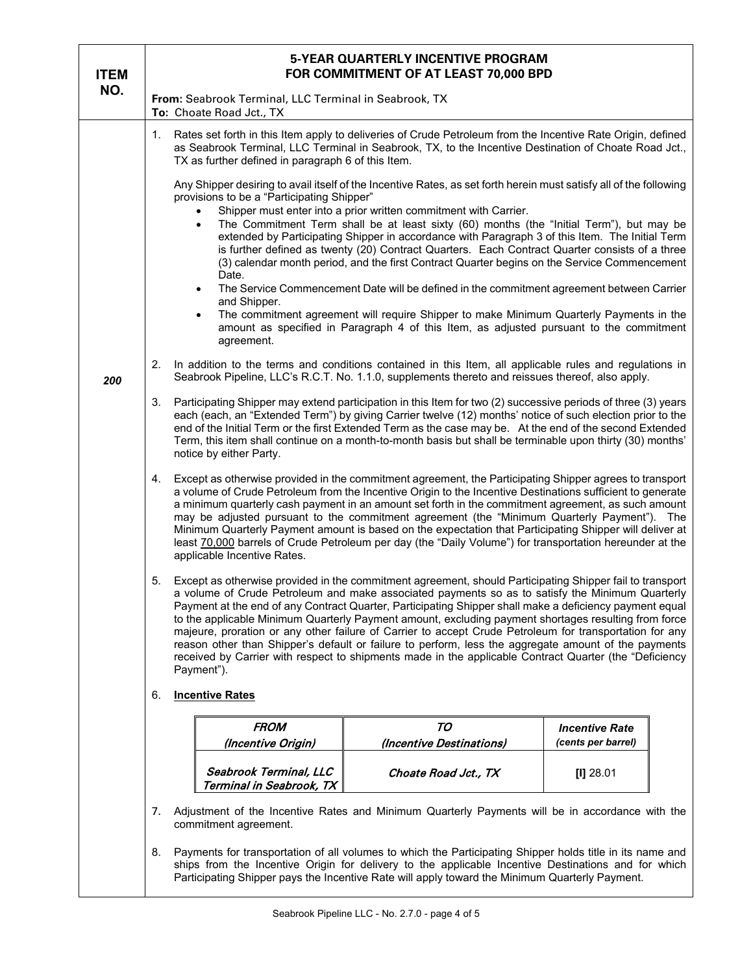| <b>ITEM</b>                                                                                                                                                                                                                                                                                                              | 5-YEAR QUARTERLY INCENTIVE PROGRAM<br>FOR COMMITMENT OF AT LEAST 70,000 BPD                                                                                                                                                                                                                                                                                                                                                                                                                                                                                                                                                                                                                                                                                                                                                                                                                                                                                                                                                                                                                                                                                                                                                                                                                                                                                                                                                                                                |                                                                                                                                                                                                             |                                             |  |  |  |
|--------------------------------------------------------------------------------------------------------------------------------------------------------------------------------------------------------------------------------------------------------------------------------------------------------------------------|----------------------------------------------------------------------------------------------------------------------------------------------------------------------------------------------------------------------------------------------------------------------------------------------------------------------------------------------------------------------------------------------------------------------------------------------------------------------------------------------------------------------------------------------------------------------------------------------------------------------------------------------------------------------------------------------------------------------------------------------------------------------------------------------------------------------------------------------------------------------------------------------------------------------------------------------------------------------------------------------------------------------------------------------------------------------------------------------------------------------------------------------------------------------------------------------------------------------------------------------------------------------------------------------------------------------------------------------------------------------------------------------------------------------------------------------------------------------------|-------------------------------------------------------------------------------------------------------------------------------------------------------------------------------------------------------------|---------------------------------------------|--|--|--|
| NO.                                                                                                                                                                                                                                                                                                                      | From: Seabrook Terminal, LLC Terminal in Seabrook, TX<br>To: Choate Road Jct., TX                                                                                                                                                                                                                                                                                                                                                                                                                                                                                                                                                                                                                                                                                                                                                                                                                                                                                                                                                                                                                                                                                                                                                                                                                                                                                                                                                                                          |                                                                                                                                                                                                             |                                             |  |  |  |
|                                                                                                                                                                                                                                                                                                                          | Rates set forth in this Item apply to deliveries of Crude Petroleum from the Incentive Rate Origin, defined<br>1.<br>as Seabrook Terminal, LLC Terminal in Seabrook, TX, to the Incentive Destination of Choate Road Jct.,<br>TX as further defined in paragraph 6 of this Item.                                                                                                                                                                                                                                                                                                                                                                                                                                                                                                                                                                                                                                                                                                                                                                                                                                                                                                                                                                                                                                                                                                                                                                                           |                                                                                                                                                                                                             |                                             |  |  |  |
|                                                                                                                                                                                                                                                                                                                          | Any Shipper desiring to avail itself of the Incentive Rates, as set forth herein must satisfy all of the following<br>provisions to be a "Participating Shipper"<br>Shipper must enter into a prior written commitment with Carrier.<br>The Commitment Term shall be at least sixty (60) months (the "Initial Term"), but may be<br>$\bullet$<br>extended by Participating Shipper in accordance with Paragraph 3 of this Item. The Initial Term<br>is further defined as twenty (20) Contract Quarters. Each Contract Quarter consists of a three<br>(3) calendar month period, and the first Contract Quarter begins on the Service Commencement<br>Date.<br>The Service Commencement Date will be defined in the commitment agreement between Carrier<br>$\bullet$<br>and Shipper.<br>The commitment agreement will require Shipper to make Minimum Quarterly Payments in the<br>$\bullet$<br>amount as specified in Paragraph 4 of this Item, as adjusted pursuant to the commitment                                                                                                                                                                                                                                                                                                                                                                                                                                                                                   |                                                                                                                                                                                                             |                                             |  |  |  |
| 200                                                                                                                                                                                                                                                                                                                      | agreement.<br>2.                                                                                                                                                                                                                                                                                                                                                                                                                                                                                                                                                                                                                                                                                                                                                                                                                                                                                                                                                                                                                                                                                                                                                                                                                                                                                                                                                                                                                                                           | In addition to the terms and conditions contained in this Item, all applicable rules and regulations in<br>Seabrook Pipeline, LLC's R.C.T. No. 1.1.0, supplements thereto and reissues thereof, also apply. |                                             |  |  |  |
|                                                                                                                                                                                                                                                                                                                          | Participating Shipper may extend participation in this Item for two (2) successive periods of three (3) years<br>3.<br>each (each, an "Extended Term") by giving Carrier twelve (12) months' notice of such election prior to the<br>end of the Initial Term or the first Extended Term as the case may be. At the end of the second Extended<br>Term, this item shall continue on a month-to-month basis but shall be terminable upon thirty (30) months'<br>notice by either Party.                                                                                                                                                                                                                                                                                                                                                                                                                                                                                                                                                                                                                                                                                                                                                                                                                                                                                                                                                                                      |                                                                                                                                                                                                             |                                             |  |  |  |
|                                                                                                                                                                                                                                                                                                                          | Except as otherwise provided in the commitment agreement, the Participating Shipper agrees to transport<br>4.<br>a volume of Crude Petroleum from the Incentive Origin to the Incentive Destinations sufficient to generate<br>a minimum quarterly cash payment in an amount set forth in the commitment agreement, as such amount<br>may be adjusted pursuant to the commitment agreement (the "Minimum Quarterly Payment"). The<br>Minimum Quarterly Payment amount is based on the expectation that Participating Shipper will deliver at<br>least 70,000 barrels of Crude Petroleum per day (the "Daily Volume") for transportation hereunder at the<br>applicable Incentive Rates.<br>Except as otherwise provided in the commitment agreement, should Participating Shipper fail to transport<br>5.<br>a volume of Crude Petroleum and make associated payments so as to satisfy the Minimum Quarterly<br>Payment at the end of any Contract Quarter, Participating Shipper shall make a deficiency payment equal<br>to the applicable Minimum Quarterly Payment amount, excluding payment shortages resulting from force<br>majeure, proration or any other failure of Carrier to accept Crude Petroleum for transportation for any<br>reason other than Shipper's default or failure to perform, less the aggregate amount of the payments<br>received by Carrier with respect to shipments made in the applicable Contract Quarter (the "Deficiency<br>Payment"). |                                                                                                                                                                                                             |                                             |  |  |  |
|                                                                                                                                                                                                                                                                                                                          |                                                                                                                                                                                                                                                                                                                                                                                                                                                                                                                                                                                                                                                                                                                                                                                                                                                                                                                                                                                                                                                                                                                                                                                                                                                                                                                                                                                                                                                                            |                                                                                                                                                                                                             |                                             |  |  |  |
|                                                                                                                                                                                                                                                                                                                          | <b>Incentive Rates</b><br>6.                                                                                                                                                                                                                                                                                                                                                                                                                                                                                                                                                                                                                                                                                                                                                                                                                                                                                                                                                                                                                                                                                                                                                                                                                                                                                                                                                                                                                                               |                                                                                                                                                                                                             |                                             |  |  |  |
|                                                                                                                                                                                                                                                                                                                          | <b>FROM</b><br>(Incentive Origin)                                                                                                                                                                                                                                                                                                                                                                                                                                                                                                                                                                                                                                                                                                                                                                                                                                                                                                                                                                                                                                                                                                                                                                                                                                                                                                                                                                                                                                          | TO<br>(Incentive Destinations)                                                                                                                                                                              | <b>Incentive Rate</b><br>(cents per barrel) |  |  |  |
|                                                                                                                                                                                                                                                                                                                          | Seabrook Terminal, LLC<br>Terminal in Seabrook, TX                                                                                                                                                                                                                                                                                                                                                                                                                                                                                                                                                                                                                                                                                                                                                                                                                                                                                                                                                                                                                                                                                                                                                                                                                                                                                                                                                                                                                         | Choate Road Jct., TX                                                                                                                                                                                        | $[1]$ 28.01                                 |  |  |  |
|                                                                                                                                                                                                                                                                                                                          | Adjustment of the Incentive Rates and Minimum Quarterly Payments will be in accordance with the<br>7.<br>commitment agreement.                                                                                                                                                                                                                                                                                                                                                                                                                                                                                                                                                                                                                                                                                                                                                                                                                                                                                                                                                                                                                                                                                                                                                                                                                                                                                                                                             |                                                                                                                                                                                                             |                                             |  |  |  |
| Payments for transportation of all volumes to which the Participating Shipper holds title in its name and<br>8.<br>ships from the Incentive Origin for delivery to the applicable Incentive Destinations and for which<br>Participating Shipper pays the Incentive Rate will apply toward the Minimum Quarterly Payment. |                                                                                                                                                                                                                                                                                                                                                                                                                                                                                                                                                                                                                                                                                                                                                                                                                                                                                                                                                                                                                                                                                                                                                                                                                                                                                                                                                                                                                                                                            |                                                                                                                                                                                                             |                                             |  |  |  |